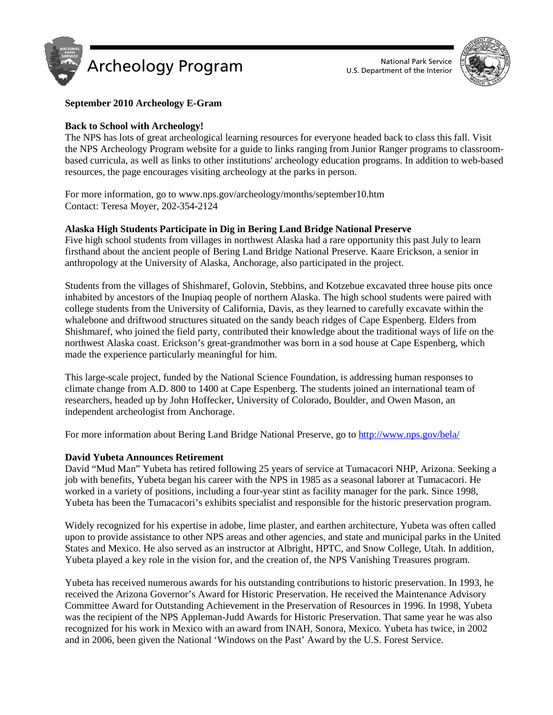



# **September 2010 Archeology E-Gram**

# **Back to School with Archeology!**

The NPS has lots of great archeological learning resources for everyone headed back to class this fall. Visit the NPS Archeology Program website for a guide to links ranging from Junior Ranger programs to classroombased curricula, as well as links to other institutions' archeology education programs. In addition to web-based resources, the page encourages visiting archeology at the parks in person.

For more information, go to www.nps.gov/archeology/months/september10.htm Contact: Teresa Moyer, 202-354-2124

#### **Alaska High Students Participate in Dig in Bering Land Bridge National Preserve**

Five high school students from villages in northwest Alaska had a rare opportunity this past July to learn firsthand about the ancient people of Bering Land Bridge National Preserve. Kaare Erickson, a senior in anthropology at the University of Alaska, Anchorage, also participated in the project.

Students from the villages of Shishmaref, Golovin, Stebbins, and Kotzebue excavated three house pits once inhabited by ancestors of the Inupiaq people of northern Alaska. The high school students were paired with college students from the University of California, Davis, as they learned to carefully excavate within the whalebone and driftwood structures situated on the sandy beach ridges of Cape Espenberg. Elders from Shishmaref, who joined the field party, contributed their knowledge about the traditional ways of life on the northwest Alaska coast. Erickson's great-grandmother was born in a sod house at Cape Espenberg, which made the experience particularly meaningful for him.

This large-scale project, funded by the National Science Foundation, is addressing human responses to climate change from A.D. 800 to 1400 at Cape Espenberg. The students joined an international team of researchers, headed up by John Hoffecker, University of Colorado, Boulder, and Owen Mason, an independent archeologist from Anchorage.

For more information about Bering Land Bridge National Preserve, go to<http://www.nps.gov/bela/>

# **David Yubeta Announces Retirement**

David "Mud Man" Yubeta has retired following 25 years of service at Tumacacori NHP, Arizona. Seeking a job with benefits, Yubeta began his career with the NPS in 1985 as a seasonal laborer at Tumacacori. He worked in a variety of positions, including a four-year stint as facility manager for the park. Since 1998, Yubeta has been the Tumacacori's exhibits specialist and responsible for the historic preservation program.

Widely recognized for his expertise in adobe, lime plaster, and earthen architecture, Yubeta was often called upon to provide assistance to other NPS areas and other agencies, and state and municipal parks in the United States and Mexico. He also served as an instructor at Albright, HPTC, and Snow College, Utah. In addition, Yubeta played a key role in the vision for, and the creation of, the NPS Vanishing Treasures program.

Yubeta has received numerous awards for his outstanding contributions to historic preservation. In 1993, he received the Arizona Governor's Award for Historic Preservation. He received the Maintenance Advisory Committee Award for Outstanding Achievement in the Preservation of Resources in 1996. In 1998, Yubeta was the recipient of the NPS Appleman-Judd Awards for Historic Preservation. That same year he was also recognized for his work in Mexico with an award from INAH, Sonora, Mexico. Yubeta has twice, in 2002 and in 2006, been given the National 'Windows on the Past' Award by the U.S. Forest Service.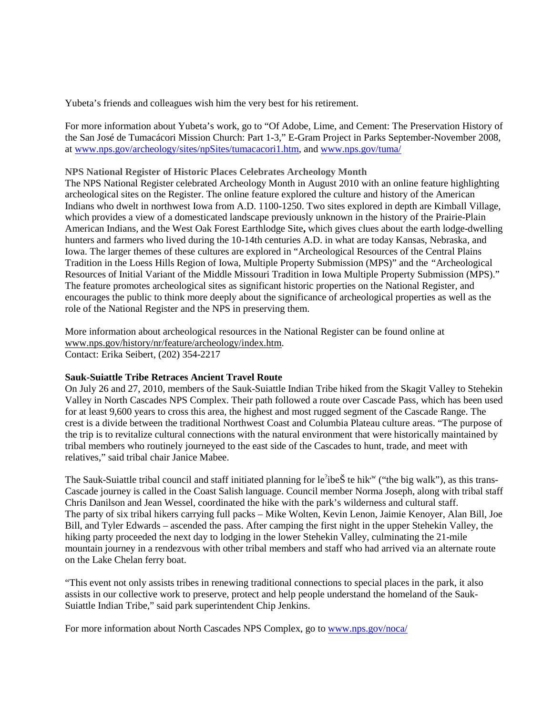Yubeta's friends and colleagues wish him the very best for his retirement.

For more information about Yubeta's work, go to "Of Adobe, Lime, and Cement: The Preservation History of the San José de Tumacácori Mission Church: Part 1-3," E-Gram Project in Parks September-November 2008, at [www.nps.gov/archeology/sites/npSites/tumacacori1.htm,](http://www.nps.gov/archeology/sites/npSites/tumacacori1.htm) and [www.nps.gov/tuma/](http://www.nps.gov/tuma/)

#### **NPS National Register of Historic Places Celebrates Archeology Month**

The NPS National Register celebrated Archeology Month in August 2010 with an online feature highlighting archeological sites on the Register. The online feature explored the culture and history of the American Indians who dwelt in northwest Iowa from A.D. 1100-1250. Two sites explored in depth are [Kimball](http://www.nps.gov/history/nr/feature/archeology/2010/Kimball_Village.htm) [Village,](http://www.nps.gov/history/nr/feature/archeology/2010/Kimball_Village.htm) which provides a view of a domesticated landscape previously unknown in the history of the Prairie-Plain American Indians, and [the West Oak Forest Earthlodge Site](http://www.nps.gov/history/nr/feature/archeology/2010/West_Oak_Forest_Earthlodge.htm)**,** which gives clues about the earth lodge-dwelling hunters and farmers who lived during the 10-14th centuries A.D. in what are today Kansas, Nebraska, and Iowa. The larger themes of these cultures are explored in ["Archeological Resources of the Central Plains](http://www.nps.gov/history/nr/feature/archeology/2010/Central_Plains_Tradition.htm)  [Tradition in the Loess Hills Region of Iowa, Multiple Property Submission \(MPS\)"](http://www.nps.gov/history/nr/feature/archeology/2010/Central_Plains_Tradition.htm) and the *"*[Archeological](http://www.nps.gov/history/nr/feature/archeology/2010/Initial_Variant.htm)  [Resources of Initial Variant of the Middle Missouri Tradition in Iowa Multiple Property Submission \(MPS\).](http://www.nps.gov/history/nr/feature/archeology/2010/Initial_Variant.htm)" The feature promotes archeological sites as significant historic properties on the National Register, and encourages the public to think more deeply about the significance of archeological properties as well as the role of the National Register and the NPS in preserving them.

More information about archeological resources in the National Register can be found online at [www.nps.gov/history/nr/feature/archeology/index.htm.](http://www.nps.gov/history/nr/feature/archeology/index.htm) Contact: Erika Seibert, (202) 354-2217

# **Sauk-Suiattle Tribe Retraces Ancient Travel Route**

On July 26 and 27, 2010, members of the Sauk-Suiattle Indian Tribe hiked from the Skagit Valley to Stehekin Valley in North Cascades NPS Complex. Their path followed a route over Cascade Pass, which has been used for at least 9,600 years to cross this area, the highest and most rugged segment of the Cascade Range. The crest is a divide between the traditional Northwest Coast and Columbia Plateau culture areas. "The purpose of the trip is to revitalize cultural connections with the natural environment that were historically maintained by tribal members who routinely journeyed to the east side of the Cascades to hunt, trade, and meet with relatives," said tribal chair Janice Mabee.

The Sauk-Suiattle tribal council and staff initiated planning for le<sup>?</sup>ibeŠ te hik<sup>,w</sup> ("the big walk"), as this trans-Cascade journey is called in the Coast Salish language. Council member Norma Joseph, along with tribal staff Chris Danilson and Jean Wessel, coordinated the hike with the park's wilderness and cultural staff. The party of six tribal hikers carrying full packs – Mike Wolten, Kevin Lenon, Jaimie Kenoyer, Alan Bill, Joe Bill, and Tyler Edwards – ascended the pass. After camping the first night in the upper Stehekin Valley, the hiking party proceeded the next day to lodging in the lower Stehekin Valley, culminating the 21-mile mountain journey in a rendezvous with other tribal members and staff who had arrived via an alternate route on the Lake Chelan ferry boat.

"This event not only assists tribes in renewing traditional connections to special places in the park, it also assists in our collective work to preserve, protect and help people understand the homeland of the Sauk-Suiattle Indian Tribe," said park superintendent Chip Jenkins.

For more information about North Cascades NPS Complex, go to [www.nps.gov/noca/](http://www.nps.gov/noca/)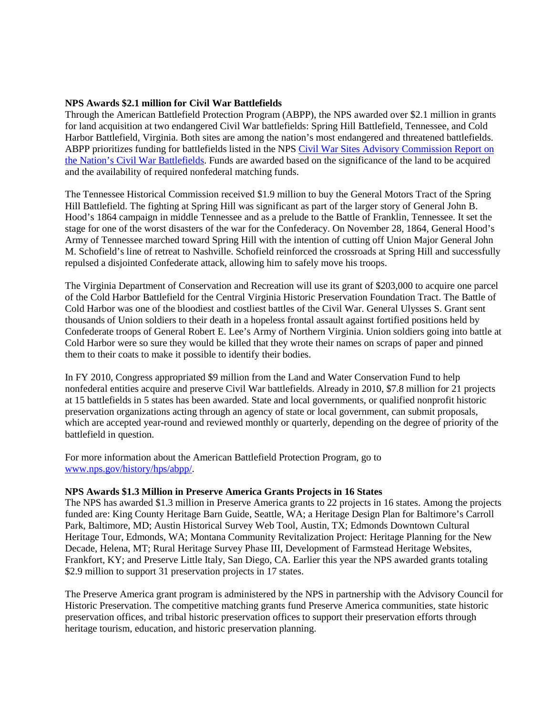#### **NPS Awards \$2.1 million for Civil War Battlefields**

Through the American Battlefield Protection Program (ABPP), the NPS awarded over \$2.1 million in grants for land acquisition at two endangered Civil War battlefields: Spring Hill Battlefield, Tennessee, and Cold Harbor Battlefield, Virginia. Both sites are among the nation's most endangered and threatened battlefields. ABPP prioritizes funding for battlefields listed in the NPS Civil War Sites Advisory Commission Report on [the Nation's Civil War Battlefields.](http://www.nps.gov/history/hps/abpp/battles/tvii.htm) Funds are awarded based on the significance of the land to be acquired and the availability of required nonfederal matching funds.

The Tennessee Historical Commission received \$1.9 million to buy the General Motors Tract of the Spring Hill Battlefield. The fighting at Spring Hill was significant as part of the larger story of General John B. Hood's 1864 campaign in middle Tennessee and as a prelude to the Battle of Franklin, Tennessee. It set the stage for one of the worst disasters of the war for the Confederacy. On November 28, 1864, General Hood's Army of Tennessee marched toward Spring Hill with the intention of cutting off Union Major General John M. Schofield's line of retreat to Nashville. Schofield reinforced the crossroads at Spring Hill and successfully repulsed a disjointed Confederate attack, allowing him to safely move his troops.

The Virginia Department of Conservation and Recreation will use its grant of \$203,000 to acquire one parcel of the Cold Harbor Battlefield for the Central Virginia Historic Preservation Foundation Tract. The Battle of Cold Harbor was one of the bloodiest and costliest battles of the Civil War. General Ulysses S. Grant sent thousands of Union soldiers to their death in a hopeless frontal assault against fortified positions held by Confederate troops of General Robert E. Lee's Army of Northern Virginia. Union soldiers going into battle at Cold Harbor were so sure they would be killed that they wrote their names on scraps of paper and pinned them to their coats to make it possible to identify their bodies.

In FY 2010, Congress appropriated \$9 million from the Land and Water Conservation Fund to help nonfederal entities acquire and preserve Civil War battlefields. Already in 2010, \$7.8 million for 21 projects at 15 battlefields in 5 states has been awarded. State and local governments, or qualified nonprofit historic preservation organizations acting through an agency of state or local government, can submit proposals, which are accepted year-round and reviewed monthly or quarterly, depending on the degree of priority of the battlefield in question.

For more information about the American Battlefield Protection Program, go to [www.nps.gov/history/hps/abpp/.](http://www.nps.gov/history/hps/abpp/)

# **NPS Awards \$1.3 Million in Preserve America Grants Projects in 16 States**

The NPS has awarded \$1.3 million in Preserve America grants to 22 projects in 16 states. Among the projects funded are: King County Heritage Barn Guide, Seattle, WA; a Heritage Design Plan for Baltimore's Carroll Park, Baltimore, MD; Austin Historical Survey Web Tool, Austin, TX; Edmonds Downtown Cultural Heritage Tour, Edmonds, WA; Montana Community Revitalization Project: Heritage Planning for the New Decade, Helena, MT; Rural Heritage Survey Phase III, Development of Farmstead Heritage Websites, Frankfort, KY; and Preserve Little Italy, San Diego, CA. Earlier this year the NPS awarded grants totaling \$2.9 million to support 31 preservation projects in 17 states.

The Preserve America grant program is administered by the NPS in partnership with the Advisory Council for Historic Preservation. The competitive matching grants fund Preserve America communities, state historic preservation offices, and tribal historic preservation offices to support their preservation efforts through heritage tourism, education, and historic preservation planning.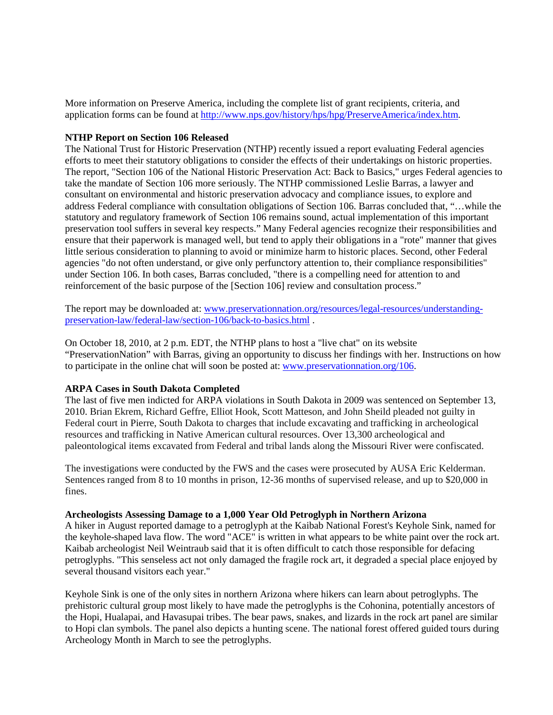More information on Preserve America, including the complete list of grant recipients, criteria, and application forms can be found at [http://www.nps.gov/history/hps/hpg/PreserveAmerica/index.htm.](http://www.nps.gov/history/hps/hpg/PreserveAmerica/index.htm)

#### **NTHP Report on Section 106 Released**

The National Trust for Historic Preservation (NTHP) recently issued a report evaluating Federal agencies efforts to meet their statutory obligations to consider the effects of their undertakings on historic properties. The report, "Section 106 of the National Historic Preservation Act: Back to Basics," urges Federal agencies to take the mandate of Section 106 more seriously. The NTHP commissioned Leslie Barras, a lawyer and consultant on environmental and historic preservation advocacy and compliance issues, to explore and address Federal compliance with consultation obligations of Section 106. Barras concluded that, "…while the statutory and regulatory framework of Section 106 remains sound, actual implementation of this important preservation tool suffers in several key respects." Many Federal agencies recognize their responsibilities and ensure that their paperwork is managed well, but tend to apply their obligations in a "rote" manner that gives little serious consideration to planning to avoid or minimize harm to historic places. Second, other Federal agencies "do not often understand, or give only perfunctory attention to, their compliance responsibilities" under Section 106. In both cases, Barras concluded, "there is a compelling need for attention to and reinforcement of the basic purpose of the [Section 106] review and consultation process."

The report may be downloaded at: [www.preservationnation.org/resources/legal-resources/understanding](http://www.preservationnation.org/resources/legal-resources/understanding-preservation-law/federal-law/section-106/back-to-basics.html)[preservation-law/federal-law/section-106/back-to-basics.html](http://www.preservationnation.org/resources/legal-resources/understanding-preservation-law/federal-law/section-106/back-to-basics.html) .

On October 18, 2010, at 2 p.m. EDT, the NTHP plans to host a "live chat" on its website "PreservationNation" with Barras, giving an opportunity to discuss her findings with her. Instructions on how to participate in the online chat will soon be posted at: [www.preservationnation.org/106.](http://www.preservationnation.org/106)

# **ARPA Cases in South Dakota Completed**

The last of five men indicted for ARPA violations in South Dakota in 2009 was sentenced on September 13, 2010. Brian Ekrem, Richard Geffre, Elliot Hook, Scott Matteson, and John Sheild pleaded not guilty in Federal court in Pierre, South Dakota to charges that include excavating and trafficking in archeological resources and trafficking in Native American cultural resources. Over 13,300 archeological and paleontological items excavated from Federal and tribal lands along the Missouri River were confiscated.

The investigations were conducted by the FWS and the cases were prosecuted by AUSA Eric Kelderman. Sentences ranged from 8 to 10 months in prison, 12-36 months of supervised release, and up to \$20,000 in fines.

#### **Archeologists Assessing Damage to a 1,000 Year Old Petroglyph in Northern Arizona**

A hiker in August reported damage to a petroglyph at the Kaibab National Forest's Keyhole Sink, named for the keyhole-shaped lava flow. The word "ACE" is written in what appears to be white paint over the rock art. Kaibab archeologist Neil Weintraub said that it is often difficult to catch those responsible for defacing petroglyphs. "This senseless act not only damaged the fragile rock art, it degraded a special place enjoyed by several thousand visitors each year."

Keyhole Sink is one of the only sites in northern Arizona where hikers can learn about petroglyphs. The prehistoric cultural group most likely to have made the petroglyphs is the Cohonina, potentially ancestors of the Hopi, Hualapai, and Havasupai tribes. The bear paws, snakes, and lizards in the rock art panel are similar to Hopi clan symbols. The panel also depicts a hunting scene. The national forest offered guided tours during Archeology Month in March to see the petroglyphs.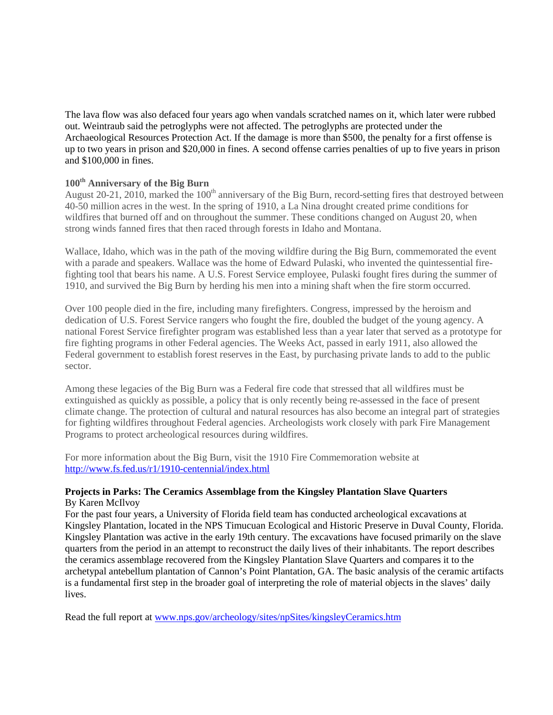The lava flow was also defaced four years ago when vandals scratched names on it, which later were rubbed out. Weintraub said the petroglyphs were not affected. The petroglyphs are protected under the Archaeological Resources Protection Act. If the damage is more than \$500, the penalty for a first offense is up to two years in prison and \$20,000 in fines. A second offense carries penalties of up to five years in prison and \$100,000 in fines.

# **100th Anniversary of the Big Burn**

August 20-21, 2010, marked the 100<sup>th</sup> anniversary of the Big Burn, record-setting fires that destroyed between 40-50 million acres in the west. In the spring of 1910, a La Nina drought created prime conditions for wildfires that burned off and on throughout the summer. These conditions changed on August 20, when strong winds fanned fires that then raced through forests in Idaho and Montana.

Wallace, Idaho, which was in the path of the moving wildfire during the Big Burn, commemorated the event with a parade and speakers. Wallace was the home of Edward Pulaski, who invented the quintessential firefighting tool that bears his name. A U.S. Forest Service employee, Pulaski fought fires during the summer of 1910, and survived the Big Burn by herding his men into a mining shaft when the fire storm occurred.

Over 100 people died in the fire, including many firefighters. Congress, impressed by the heroism and dedication of U.S. Forest Service rangers who fought the fire, doubled the budget of the young agency. A national Forest Service firefighter program was established less than a year later that served as a prototype for fire fighting programs in other Federal agencies. The Weeks Act, passed in early 1911, also allowed the Federal government to establish forest reserves in the East, by purchasing private lands to add to the public sector.

Among these legacies of the Big Burn was a Federal fire code that stressed that all wildfires must be extinguished as quickly as possible, a policy that is only recently being re-assessed in the face of present climate change. The protection of cultural and natural resources has also become an integral part of strategies for fighting wildfires throughout Federal agencies. Archeologists work closely with park Fire Management Programs to protect archeological resources during wildfires.

For more information about the Big Burn, visit the 1910 Fire Commemoration website at <http://www.fs.fed.us/r1/1910-centennial/index.html>

# **Projects in Parks: The Ceramics Assemblage from the Kingsley Plantation Slave Quarters**  By Karen McIlvoy

For the past four years, a University of Florida field team has conducted archeological excavations at Kingsley Plantation, located in the NPS Timucuan Ecological and Historic Preserve in Duval County, Florida. Kingsley Plantation was active in the early 19th century. The excavations have focused primarily on the slave quarters from the period in an attempt to reconstruct the daily lives of their inhabitants. The report describes the ceramics assemblage recovered from the Kingsley Plantation Slave Quarters and compares it to the archetypal antebellum plantation of Cannon's Point Plantation, GA. The basic analysis of the ceramic artifacts is a fundamental first step in the broader goal of interpreting the role of material objects in the slaves' daily lives.

Read the full report at [www.nps.gov/archeology/sites/npSites/kingsleyCeramics.htm](http://www.nps.gov/archeology/sites/npSites/kingsleyCeramics.htm)